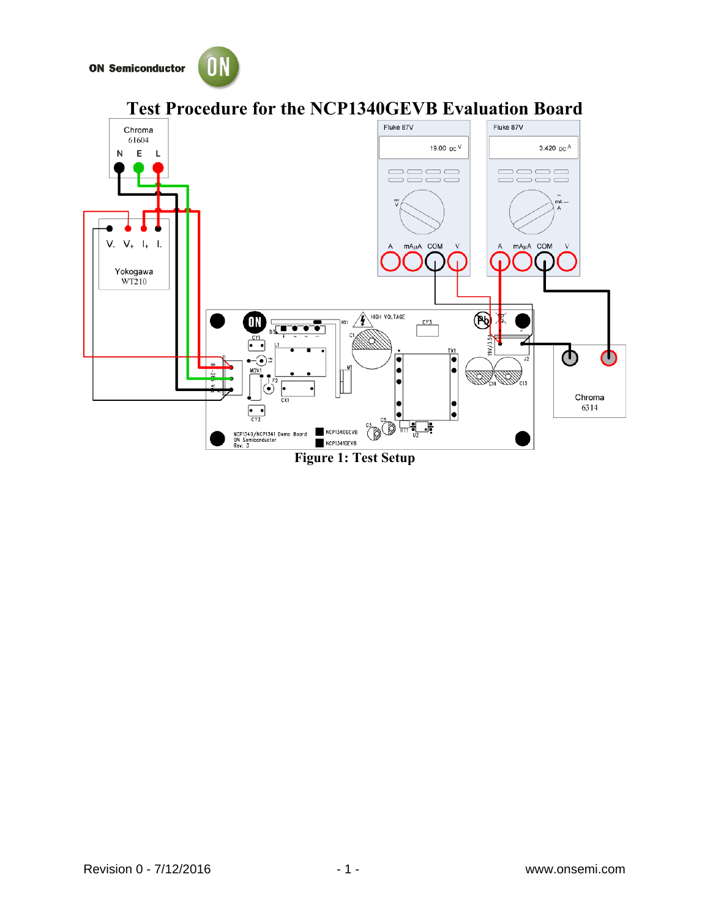



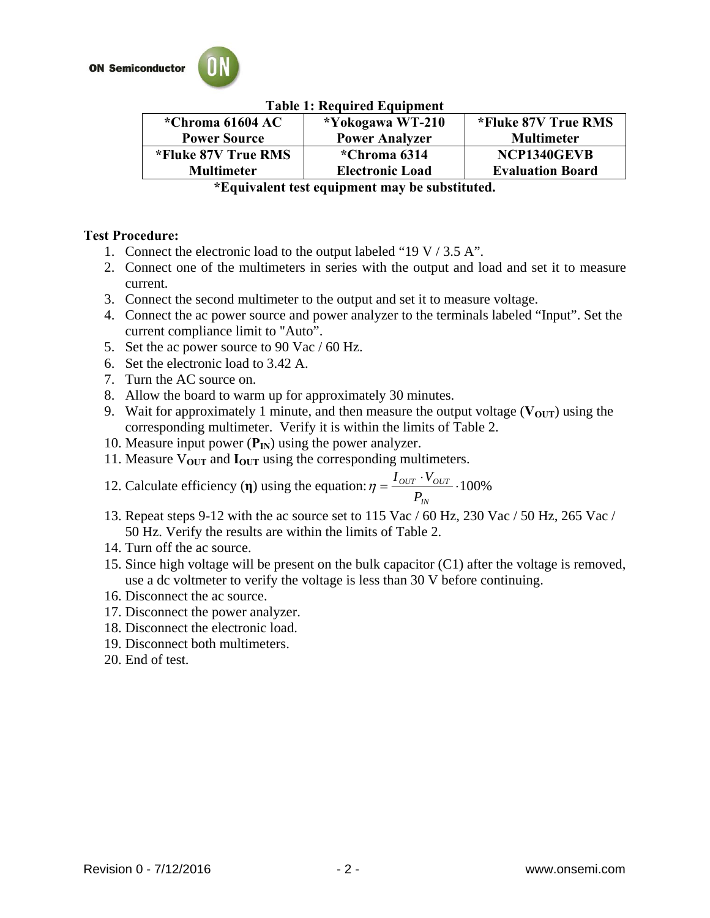

| <b>Table 1: Required Equipment</b>                                                                                                                                                                                              |                        |                         |
|---------------------------------------------------------------------------------------------------------------------------------------------------------------------------------------------------------------------------------|------------------------|-------------------------|
| *Chroma 61604 AC                                                                                                                                                                                                                | *Yokogawa WT-210       | *Fluke 87V True RMS     |
| <b>Power Source</b>                                                                                                                                                                                                             | <b>Power Analyzer</b>  | <b>Multimeter</b>       |
| *Fluke 87V True RMS                                                                                                                                                                                                             | *Chroma 6314           | NCP1340GEVB             |
| <b>Multimeter</b>                                                                                                                                                                                                               | <b>Electronic Load</b> | <b>Evaluation Board</b> |
| $\sim$ . The contract of the contract of the contract of the contract of the contract of the contract of the contract of the contract of the contract of the contract of the contract of the contract of the contract of the co |                        |                         |

## **Table 1: Required Equipment**

**\*Equivalent test equipment may be substituted.** 

## **Test Procedure:**

**ON Semiconductor** 

- 1. Connect the electronic load to the output labeled "19 V / 3.5 A".
- 2. Connect one of the multimeters in series with the output and load and set it to measure current.
- 3. Connect the second multimeter to the output and set it to measure voltage.
- 4. Connect the ac power source and power analyzer to the terminals labeled "Input". Set the current compliance limit to "Auto".
- 5. Set the ac power source to 90 Vac / 60 Hz.
- 6. Set the electronic load to 3.42 A.
- 7. Turn the AC source on.
- 8. Allow the board to warm up for approximately 30 minutes.
- 9. Wait for approximately 1 minute, and then measure the output voltage ( $V_{OUT}$ ) using the corresponding multimeter. Verify it is within the limits of Table 2.
- 10. Measure input power  $(P_{IN})$  using the power analyzer.
- 11. Measure V**OUT** and **IOUT** using the corresponding multimeters.
- 12. Calculate efficiency (**η**) using the equation:  $\eta = \frac{I_{OUT} \cdot V_{OUT}}{R} \cdot 100\%$ *IN OUT OUT P*  $I_{OUT}$   $\cdot V$  $\eta$
- 13. Repeat steps 9-12 with the ac source set to 115 Vac / 60 Hz, 230 Vac / 50 Hz, 265 Vac / 50 Hz. Verify the results are within the limits of Table 2.
- 14. Turn off the ac source.
- 15. Since high voltage will be present on the bulk capacitor (C1) after the voltage is removed, use a dc voltmeter to verify the voltage is less than 30 V before continuing.
- 16. Disconnect the ac source.
- 17. Disconnect the power analyzer.
- 18. Disconnect the electronic load.
- 19. Disconnect both multimeters.
- 20. End of test.